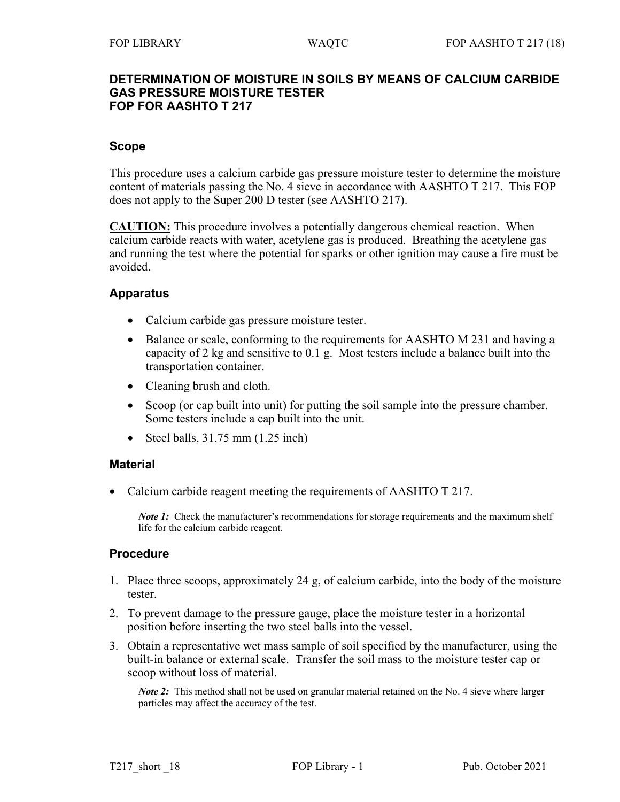#### **DETERMINATION OF MOISTURE IN SOILS BY MEANS OF CALCIUM CARBIDE GAS PRESSURE MOISTURE TESTER FOP FOR AASHTO T 217**

## **Scope**

This procedure uses a calcium carbide gas pressure moisture tester to determine the moisture content of materials passing the No. 4 sieve in accordance with AASHTO T 217. This FOP does not apply to the Super 200 D tester (see AASHTO 217).

**CAUTION:** This procedure involves a potentially dangerous chemical reaction. When calcium carbide reacts with water, acetylene gas is produced. Breathing the acetylene gas and running the test where the potential for sparks or other ignition may cause a fire must be avoided.

## **Apparatus**

- Calcium carbide gas pressure moisture tester.
- Balance or scale, conforming to the requirements for AASHTO M 231 and having a capacity of 2 kg and sensitive to 0.1 g. Most testers include a balance built into the transportation container.
- Cleaning brush and cloth.
- Scoop (or cap built into unit) for putting the soil sample into the pressure chamber. Some testers include a cap built into the unit.
- Steel balls,  $31.75$  mm  $(1.25$  inch)

## **Material**

• Calcium carbide reagent meeting the requirements of AASHTO T 217.

*Note 1*: Check the manufacturer's recommendations for storage requirements and the maximum shelf life for the calcium carbide reagent.

## **Procedure**

- 1. Place three scoops, approximately 24 g, of calcium carbide, into the body of the moisture tester.
- 2. To prevent damage to the pressure gauge, place the moisture tester in a horizontal position before inserting the two steel balls into the vessel.
- 3. Obtain a representative wet mass sample of soil specified by the manufacturer, using the built-in balance or external scale. Transfer the soil mass to the moisture tester cap or scoop without loss of material.

*Note 2*: This method shall not be used on granular material retained on the No. 4 sieve where larger particles may affect the accuracy of the test.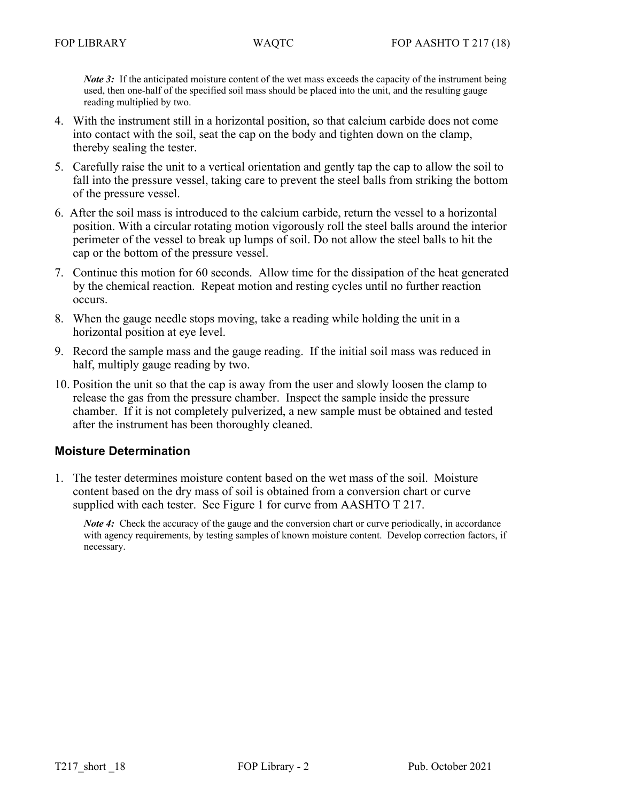*Note 3*: If the anticipated moisture content of the wet mass exceeds the capacity of the instrument being used, then one-half of the specified soil mass should be placed into the unit, and the resulting gauge reading multiplied by two.

- 4. With the instrument still in a horizontal position, so that calcium carbide does not come into contact with the soil, seat the cap on the body and tighten down on the clamp, thereby sealing the tester.
- 5. Carefully raise the unit to a vertical orientation and gently tap the cap to allow the soil to fall into the pressure vessel, taking care to prevent the steel balls from striking the bottom of the pressure vessel.
- 6. After the soil mass is introduced to the calcium carbide, return the vessel to a horizontal position. With a circular rotating motion vigorously roll the steel balls around the interior perimeter of the vessel to break up lumps of soil. Do not allow the steel balls to hit the cap or the bottom of the pressure vessel.
- 7. Continue this motion for 60 seconds. Allow time for the dissipation of the heat generated by the chemical reaction. Repeat motion and resting cycles until no further reaction occurs.
- 8. When the gauge needle stops moving, take a reading while holding the unit in a horizontal position at eye level.
- 9. Record the sample mass and the gauge reading. If the initial soil mass was reduced in half, multiply gauge reading by two.
- 10. Position the unit so that the cap is away from the user and slowly loosen the clamp to release the gas from the pressure chamber. Inspect the sample inside the pressure chamber. If it is not completely pulverized, a new sample must be obtained and tested after the instrument has been thoroughly cleaned.

# **Moisture Determination**

1. The tester determines moisture content based on the wet mass of the soil. Moisture content based on the dry mass of soil is obtained from a conversion chart or curve supplied with each tester. See Figure 1 for curve from AASHTO T 217.

*Note 4*: Check the accuracy of the gauge and the conversion chart or curve periodically, in accordance with agency requirements, by testing samples of known moisture content. Develop correction factors, if necessary.